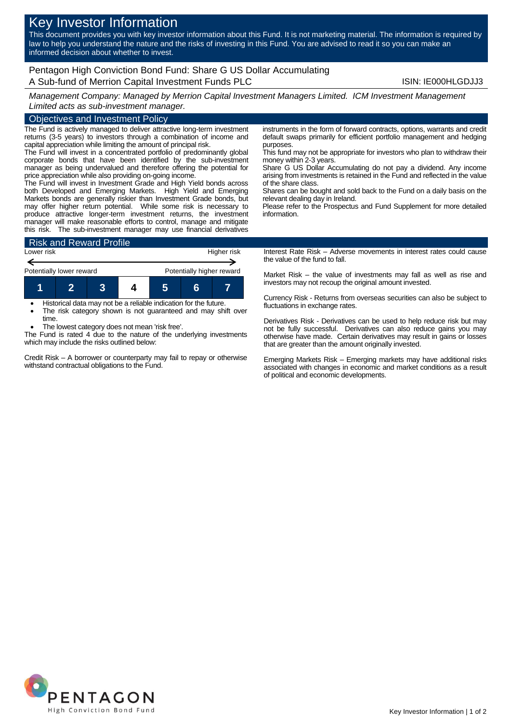# Key Investor Information

This document provides you with key investor information about this Fund. It is not marketing material. The information is required by law to help you understand the nature and the risks of investing in this Fund. You are advised to read it so you can make an informed decision about whether to invest.

# Pentagon High Conviction Bond Fund: Share G US Dollar Accumulating A Sub-fund of Merrion Capital Investment Funds PLC **INC 1998 CONVERTING INCOLLATION** ISIN: IE000HLGDJJ3

*Management Company: Managed by Merrion Capital Investment Managers Limited. ICM Investment Management Limited acts as sub-investment manager.*

## Objectives and Investment Policy

The Fund is actively managed to deliver attractive long-term investment returns (3-5 years) to investors through a combination of income and capital appreciation while limiting the amount of principal risk.

The Fund will invest in a concentrated portfolio of predominantly global corporate bonds that have been identified by the sub-investment manager as being undervalued and therefore offering the potential for price appreciation while also providing on-going income.

The Fund will invest in Investment Grade and High Yield bonds across both Developed and Emerging Markets. High Yield and Emerging Markets bonds are generally riskier than Investment Grade bonds, but may offer higher return potential. While some risk is necessary to produce attractive longer-term investment returns, the investment manager will make reasonable efforts to control, manage and mitigate this risk. The sub-investment manager may use financial derivatives



 Historical data may not be a reliable indication for the future. The risk category shown is not guaranteed and may shift over

time. The lowest category does not mean 'risk free'.

The Fund is rated 4 due to the nature of the underlying investments which may include the risks outlined below:

Credit Risk – A borrower or counterparty may fail to repay or otherwise withstand contractual obligations to the Fund.

instruments in the form of forward contracts, options, warrants and credit default swaps primarily for efficient portfolio management and hedging purposes.

This fund may not be appropriate for investors who plan to withdraw their money within 2-3 years.

Share G US Dollar Accumulating do not pay a dividend. Any income arising from investments is retained in the Fund and reflected in the value of the share class.

Shares can be bought and sold back to the Fund on a daily basis on the relevant dealing day in Ireland.

Please refer to the Prospectus and Fund Supplement for more detailed information.

Interest Rate Risk – Adverse movements in interest rates could cause the value of the fund to fall.

Market Risk – the value of investments may fall as well as rise and investors may not recoup the original amount invested.

Currency Risk - Returns from overseas securities can also be subject to fluctuations in exchange rates.

Derivatives Risk - Derivatives can be used to help reduce risk but may not be fully successful. Derivatives can also reduce gains you may otherwise have made. Certain derivatives may result in gains or losses that are greater than the amount originally invested.

Emerging Markets Risk – Emerging markets may have additional risks associated with changes in economic and market conditions as a result of political and economic developments.